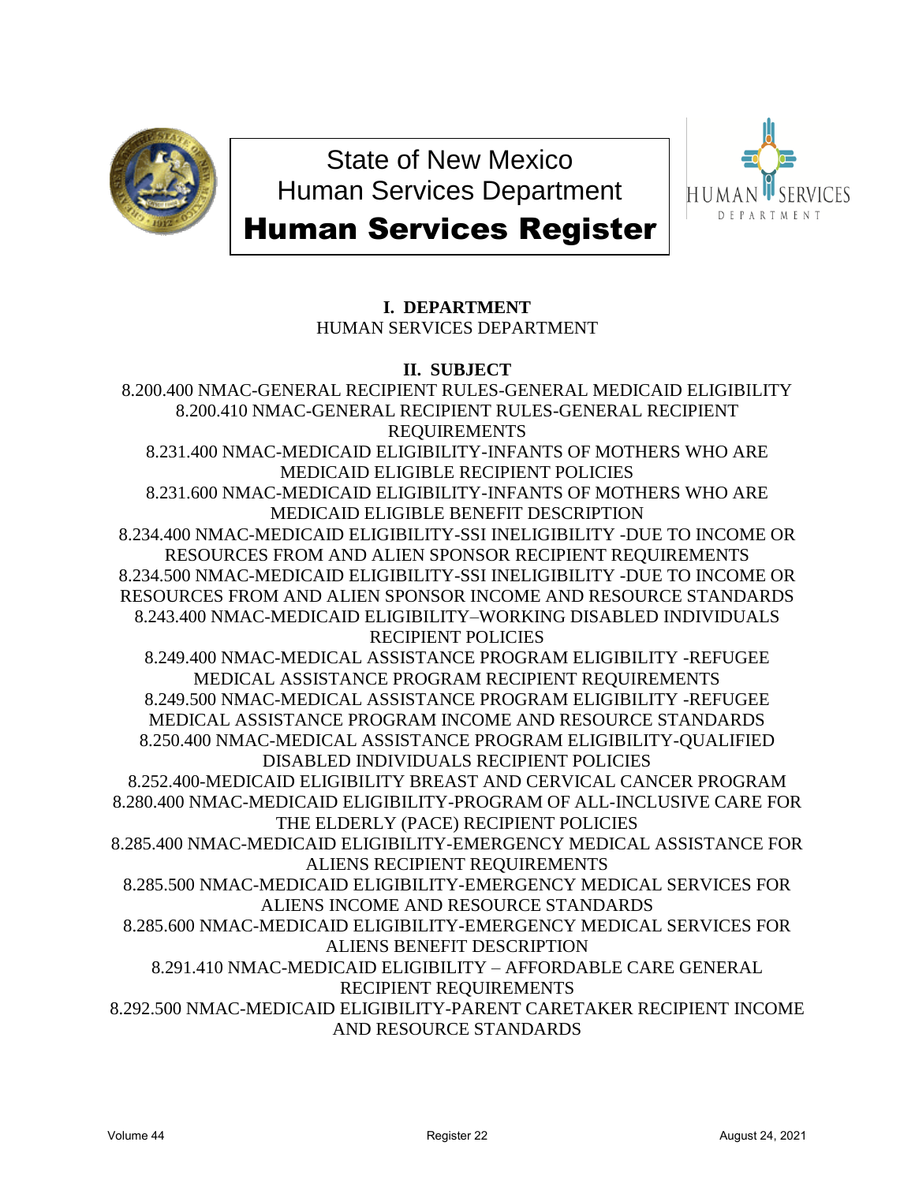

State of New Mexico Human Services Department



# Human Services Register

# **I. DEPARTMENT** HUMAN SERVICES DEPARTMENT

# **II. SUBJECT**

8.200.400 NMAC-GENERAL RECIPIENT RULES-GENERAL MEDICAID ELIGIBILITY 8.200.410 NMAC-GENERAL RECIPIENT RULES-GENERAL RECIPIENT REQUIREMENTS 8.231.400 NMAC-MEDICAID ELIGIBILITY-INFANTS OF MOTHERS WHO ARE MEDICAID ELIGIBLE RECIPIENT POLICIES 8.231.600 NMAC-MEDICAID ELIGIBILITY-INFANTS OF MOTHERS WHO ARE MEDICAID ELIGIBLE BENEFIT DESCRIPTION 8.234.400 NMAC-MEDICAID ELIGIBILITY-SSI INELIGIBILITY -DUE TO INCOME OR RESOURCES FROM AND ALIEN SPONSOR RECIPIENT REQUIREMENTS 8.234.500 NMAC-MEDICAID ELIGIBILITY-SSI INELIGIBILITY -DUE TO INCOME OR RESOURCES FROM AND ALIEN SPONSOR INCOME AND RESOURCE STANDARDS 8.243.400 NMAC-MEDICAID ELIGIBILITY–WORKING DISABLED INDIVIDUALS RECIPIENT POLICIES 8.249.400 NMAC-MEDICAL ASSISTANCE PROGRAM ELIGIBILITY -REFUGEE MEDICAL ASSISTANCE PROGRAM RECIPIENT REQUIREMENTS 8.249.500 NMAC-MEDICAL ASSISTANCE PROGRAM ELIGIBILITY -REFUGEE MEDICAL ASSISTANCE PROGRAM INCOME AND RESOURCE STANDARDS 8.250.400 NMAC-MEDICAL ASSISTANCE PROGRAM ELIGIBILITY-QUALIFIED DISABLED INDIVIDUALS RECIPIENT POLICIES 8.252.400-MEDICAID ELIGIBILITY BREAST AND CERVICAL CANCER PROGRAM 8.280.400 NMAC-MEDICAID ELIGIBILITY-PROGRAM OF ALL-INCLUSIVE CARE FOR THE ELDERLY (PACE) RECIPIENT POLICIES 8.285.400 NMAC-MEDICAID ELIGIBILITY-EMERGENCY MEDICAL ASSISTANCE FOR ALIENS RECIPIENT REQUIREMENTS 8.285.500 NMAC-MEDICAID ELIGIBILITY-EMERGENCY MEDICAL SERVICES FOR ALIENS INCOME AND RESOURCE STANDARDS 8.285.600 NMAC-MEDICAID ELIGIBILITY-EMERGENCY MEDICAL SERVICES FOR ALIENS BENEFIT DESCRIPTION 8.291.410 NMAC-MEDICAID ELIGIBILITY – AFFORDABLE CARE GENERAL RECIPIENT REQUIREMENTS 8.292.500 NMAC-MEDICAID ELIGIBILITY-PARENT CARETAKER RECIPIENT INCOME AND RESOURCE STANDARDS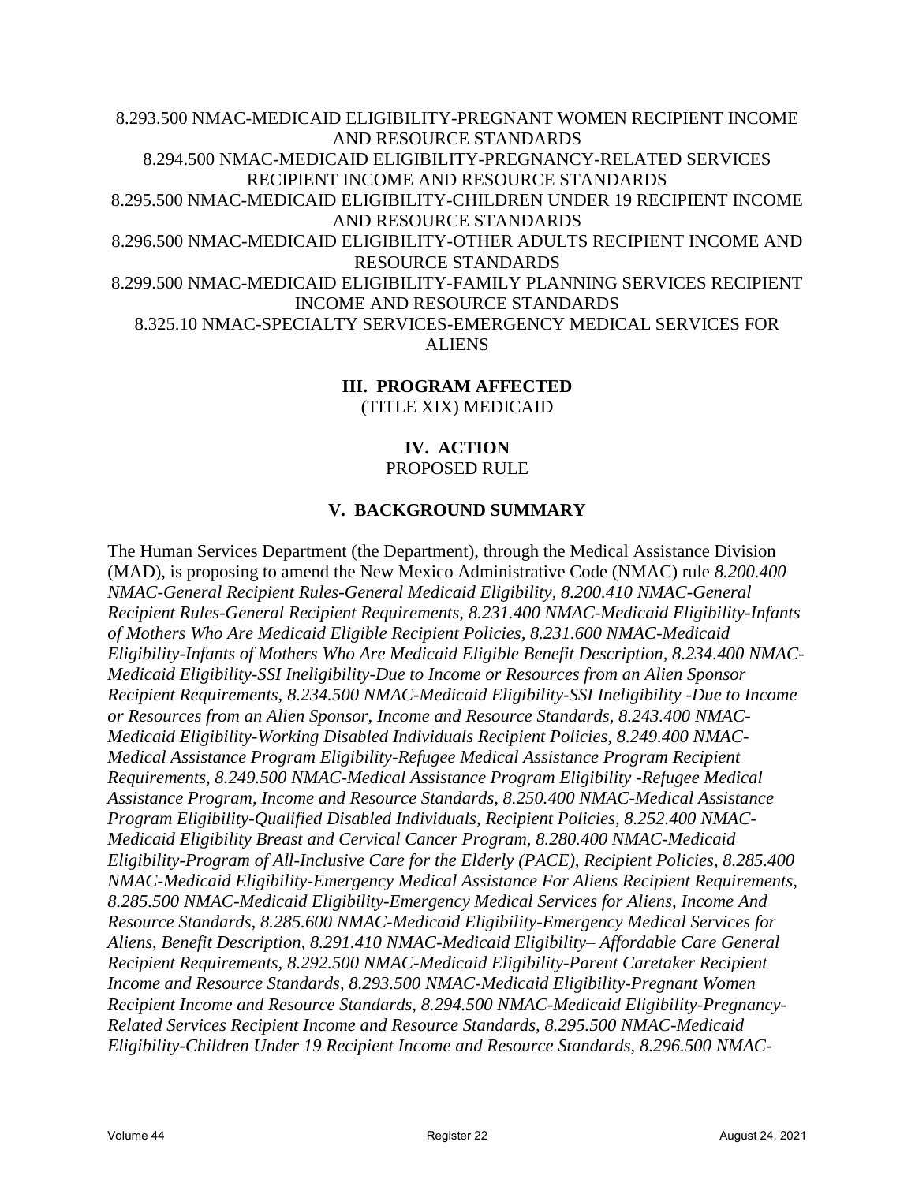8.293.500 NMAC-MEDICAID ELIGIBILITY-PREGNANT WOMEN RECIPIENT INCOME AND RESOURCE STANDARDS 8.294.500 NMAC-MEDICAID ELIGIBILITY-PREGNANCY-RELATED SERVICES RECIPIENT INCOME AND RESOURCE STANDARDS 8.295.500 NMAC-MEDICAID ELIGIBILITY-CHILDREN UNDER 19 RECIPIENT INCOME AND RESOURCE STANDARDS 8.296.500 NMAC-MEDICAID ELIGIBILITY-OTHER ADULTS RECIPIENT INCOME AND RESOURCE STANDARDS 8.299.500 NMAC-MEDICAID ELIGIBILITY-FAMILY PLANNING SERVICES RECIPIENT INCOME AND RESOURCE STANDARDS 8.325.10 NMAC-SPECIALTY SERVICES-EMERGENCY MEDICAL SERVICES FOR ALIENS

## **III. PROGRAM AFFECTED** (TITLE XIX) MEDICAID

## **IV. ACTION** PROPOSED RULE

## **V. BACKGROUND SUMMARY**

The Human Services Department (the Department), through the Medical Assistance Division (MAD), is proposing to amend the New Mexico Administrative Code (NMAC) rule *8.200.400 NMAC-General Recipient Rules-General Medicaid Eligibility, 8.200.410 NMAC-General Recipient Rules-General Recipient Requirements, 8.231.400 NMAC-Medicaid Eligibility-Infants of Mothers Who Are Medicaid Eligible Recipient Policies, 8.231.600 NMAC-Medicaid Eligibility-Infants of Mothers Who Are Medicaid Eligible Benefit Description, 8.234.400 NMAC-Medicaid Eligibility-SSI Ineligibility-Due to Income or Resources from an Alien Sponsor Recipient Requirements, 8.234.500 NMAC-Medicaid Eligibility-SSI Ineligibility -Due to Income or Resources from an Alien Sponsor, Income and Resource Standards, 8.243.400 NMAC-Medicaid Eligibility-Working Disabled Individuals Recipient Policies, 8.249.400 NMAC-Medical Assistance Program Eligibility-Refugee Medical Assistance Program Recipient Requirements, 8.249.500 NMAC-Medical Assistance Program Eligibility -Refugee Medical Assistance Program, Income and Resource Standards, 8.250.400 NMAC-Medical Assistance Program Eligibility-Qualified Disabled Individuals, Recipient Policies, 8.252.400 NMAC-Medicaid Eligibility Breast and Cervical Cancer Program, 8.280.400 NMAC-Medicaid Eligibility-Program of All-Inclusive Care for the Elderly (PACE), Recipient Policies, 8.285.400 NMAC-Medicaid Eligibility-Emergency Medical Assistance For Aliens Recipient Requirements, 8.285.500 NMAC-Medicaid Eligibility-Emergency Medical Services for Aliens, Income And Resource Standards, 8.285.600 NMAC-Medicaid Eligibility-Emergency Medical Services for Aliens, Benefit Description, 8.291.410 NMAC-Medicaid Eligibility– Affordable Care General Recipient Requirements, 8.292.500 NMAC-Medicaid Eligibility-Parent Caretaker Recipient Income and Resource Standards, 8.293.500 NMAC-Medicaid Eligibility-Pregnant Women Recipient Income and Resource Standards, 8.294.500 NMAC-Medicaid Eligibility-Pregnancy-Related Services Recipient Income and Resource Standards, 8.295.500 NMAC-Medicaid Eligibility-Children Under 19 Recipient Income and Resource Standards, 8.296.500 NMAC-*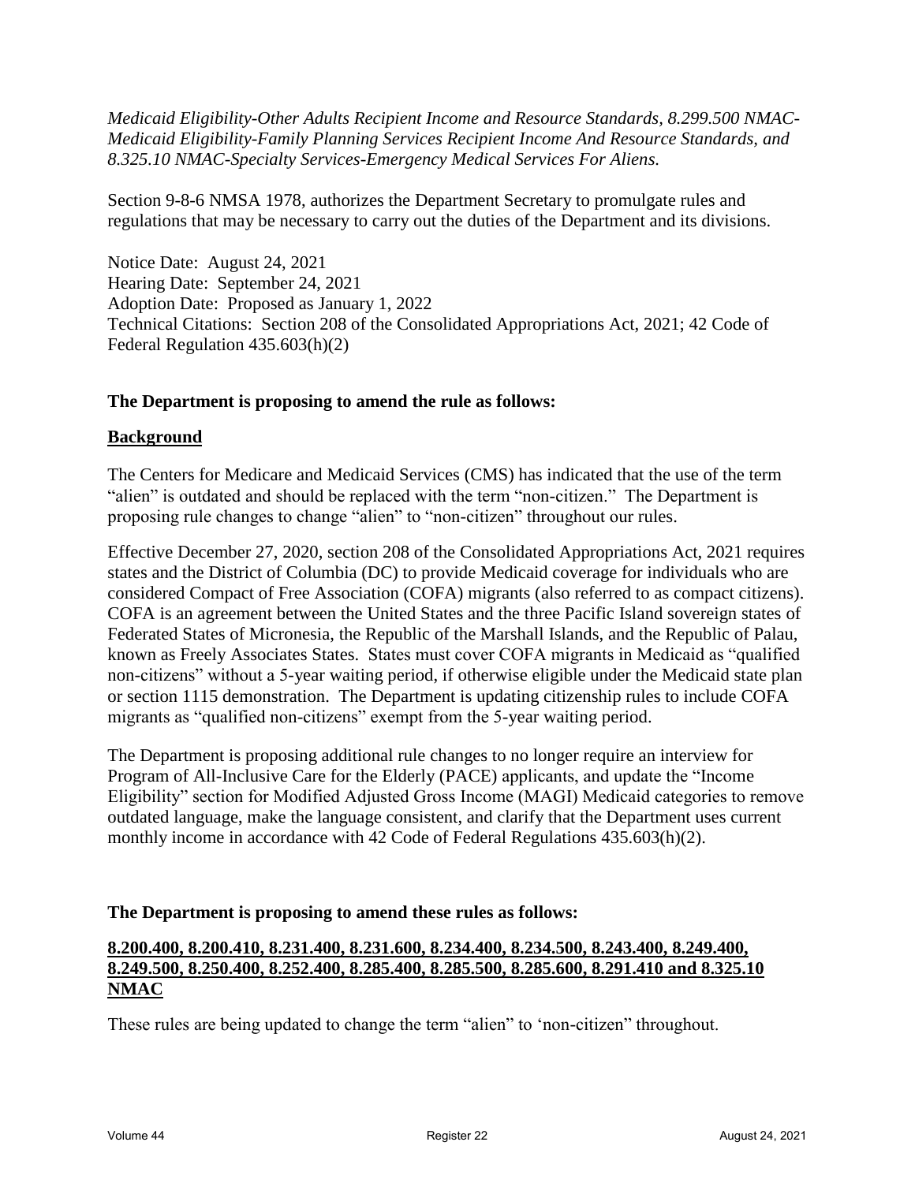*Medicaid Eligibility-Other Adults Recipient Income and Resource Standards, 8.299.500 NMAC-Medicaid Eligibility-Family Planning Services Recipient Income And Resource Standards, and 8.325.10 NMAC-Specialty Services-Emergency Medical Services For Aliens.*

Section 9-8-6 NMSA 1978, authorizes the Department Secretary to promulgate rules and regulations that may be necessary to carry out the duties of the Department and its divisions.

Notice Date: August 24, 2021 Hearing Date: September 24, 2021 Adoption Date: Proposed as January 1, 2022 Technical Citations: Section 208 of the Consolidated Appropriations Act, 2021; 42 Code of Federal Regulation 435.603(h)(2)

#### **The Department is proposing to amend the rule as follows:**

#### **Background**

The Centers for Medicare and Medicaid Services (CMS) has indicated that the use of the term "alien" is outdated and should be replaced with the term "non-citizen." The Department is proposing rule changes to change "alien" to "non-citizen" throughout our rules.

Effective December 27, 2020, section 208 of the Consolidated Appropriations Act, 2021 requires states and the District of Columbia (DC) to provide Medicaid coverage for individuals who are considered Compact of Free Association (COFA) migrants (also referred to as compact citizens). COFA is an agreement between the United States and the three Pacific Island sovereign states of Federated States of Micronesia, the Republic of the Marshall Islands, and the Republic of Palau, known as Freely Associates States. States must cover COFA migrants in Medicaid as "qualified non-citizens" without a 5-year waiting period, if otherwise eligible under the Medicaid state plan or section 1115 demonstration. The Department is updating citizenship rules to include COFA migrants as "qualified non-citizens" exempt from the 5-year waiting period.

The Department is proposing additional rule changes to no longer require an interview for Program of All-Inclusive Care for the Elderly (PACE) applicants, and update the "Income Eligibility" section for Modified Adjusted Gross Income (MAGI) Medicaid categories to remove outdated language, make the language consistent, and clarify that the Department uses current monthly income in accordance with 42 Code of Federal Regulations 435.603(h)(2).

#### **The Department is proposing to amend these rules as follows:**

## **8.200.400, 8.200.410, 8.231.400, 8.231.600, 8.234.400, 8.234.500, 8.243.400, 8.249.400, 8.249.500, 8.250.400, 8.252.400, 8.285.400, 8.285.500, 8.285.600, 8.291.410 and 8.325.10 NMAC**

These rules are being updated to change the term "alien" to 'non-citizen" throughout.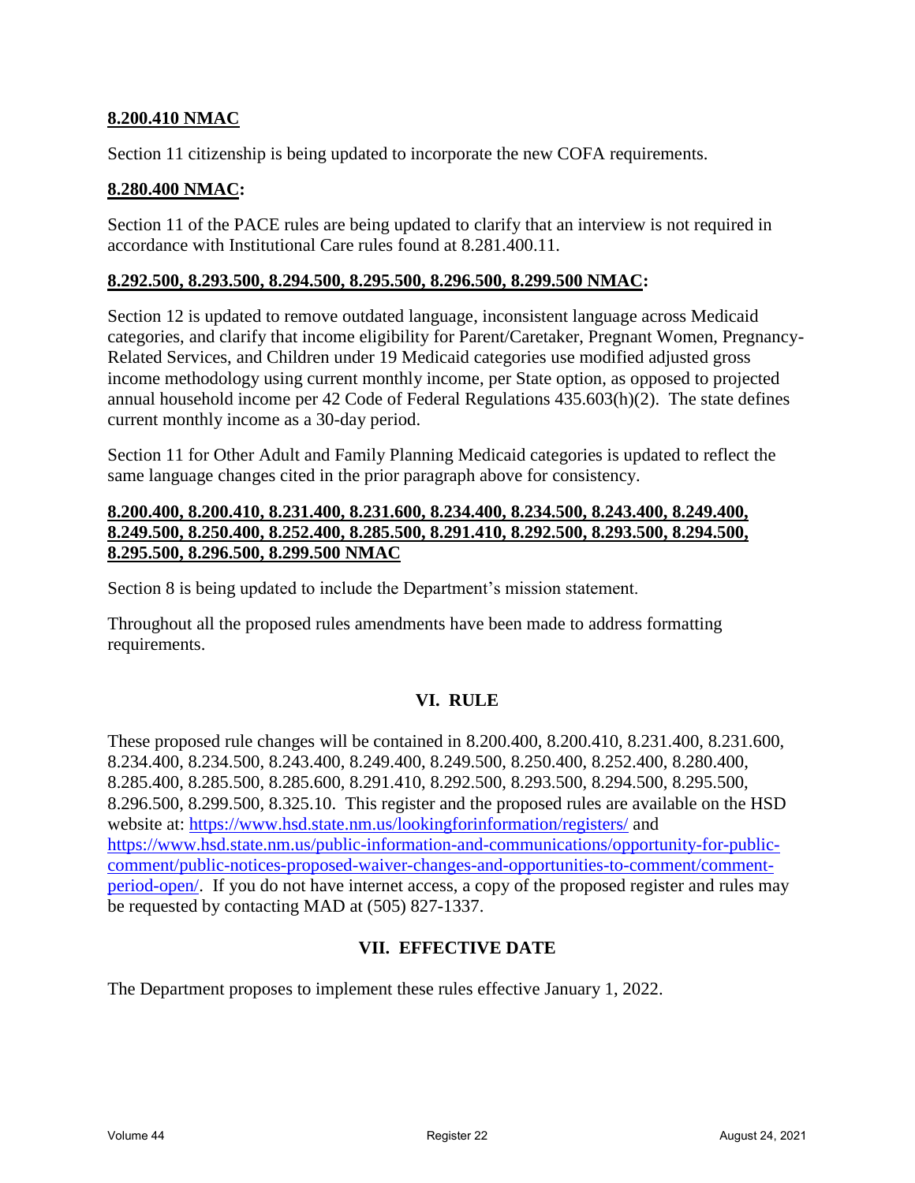#### **8.200.410 NMAC**

Section 11 citizenship is being updated to incorporate the new COFA requirements.

### **8.280.400 NMAC:**

Section 11 of the PACE rules are being updated to clarify that an interview is not required in accordance with Institutional Care rules found at 8.281.400.11.

#### **8.292.500, 8.293.500, 8.294.500, 8.295.500, 8.296.500, 8.299.500 NMAC:**

Section 12 is updated to remove outdated language, inconsistent language across Medicaid categories, and clarify that income eligibility for Parent/Caretaker, Pregnant Women, Pregnancy-Related Services, and Children under 19 Medicaid categories use modified adjusted gross income methodology using current monthly income, per State option, as opposed to projected annual household income per 42 Code of Federal Regulations 435.603(h)(2). The state defines current monthly income as a 30-day period.

Section 11 for Other Adult and Family Planning Medicaid categories is updated to reflect the same language changes cited in the prior paragraph above for consistency.

#### **8.200.400, 8.200.410, 8.231.400, 8.231.600, 8.234.400, 8.234.500, 8.243.400, 8.249.400, 8.249.500, 8.250.400, 8.252.400, 8.285.500, 8.291.410, 8.292.500, 8.293.500, 8.294.500, 8.295.500, 8.296.500, 8.299.500 NMAC**

Section 8 is being updated to include the Department's mission statement.

Throughout all the proposed rules amendments have been made to address formatting requirements.

#### **VI. RULE**

These proposed rule changes will be contained in 8.200.400, 8.200.410, 8.231.400, 8.231.600, 8.234.400, 8.234.500, 8.243.400, 8.249.400, 8.249.500, 8.250.400, 8.252.400, 8.280.400, 8.285.400, 8.285.500, 8.285.600, 8.291.410, 8.292.500, 8.293.500, 8.294.500, 8.295.500, 8.296.500, 8.299.500, 8.325.10. This register and the proposed rules are available on the HSD website at: https://www.hsd.state.nm.us/lookingforinformation/registers/ and https://www.hsd.state.nm.us/public-information-and-communications/opportunity-for-publiccomment/public-notices-proposed-waiver-changes-and-opportunities-to-comment/commentperiod-open/. If you do not have internet access, a copy of the proposed register and rules may be requested by contacting MAD at (505) 827-1337.

#### **VII. EFFECTIVE DATE**

The Department proposes to implement these rules effective January 1, 2022.